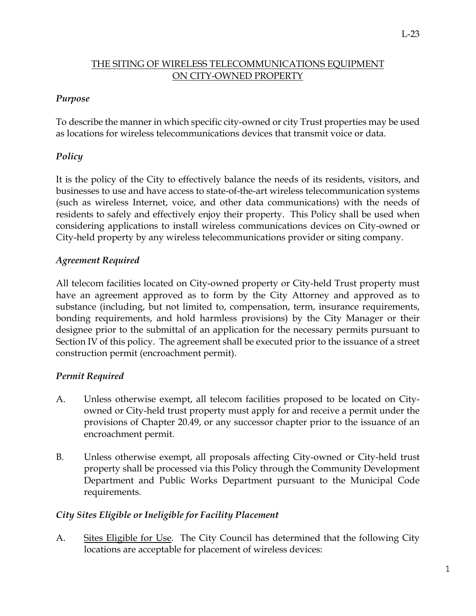#### THE SITING OF WIRELESS TELECOMMUNICATIONS EQUIPMENT ON CITY-OWNED PROPERTY

#### *Purpose*

To describe the manner in which specific city-owned or city Trust properties may be used as locations for wireless telecommunications devices that transmit voice or data.

# *Policy*

It is the policy of the City to effectively balance the needs of its residents, visitors, and businesses to use and have access to state-of-the-art wireless telecommunication systems (such as wireless Internet, voice, and other data communications) with the needs of residents to safely and effectively enjoy their property. This Policy shall be used when considering applications to install wireless communications devices on City-owned or City-held property by any wireless telecommunications provider or siting company.

## *Agreement Required*

All telecom facilities located on City-owned property or City-held Trust property must have an agreement approved as to form by the City Attorney and approved as to substance (including, but not limited to, compensation, term, insurance requirements, bonding requirements, and hold harmless provisions) by the City Manager or their designee prior to the submittal of an application for the necessary permits pursuant to Section IV of this policy. The agreement shall be executed prior to the issuance of a street construction permit (encroachment permit).

## *Permit Required*

- A. Unless otherwise exempt, all telecom facilities proposed to be located on Cityowned or City-held trust property must apply for and receive a permit under the provisions of Chapter 20.49, or any successor chapter prior to the issuance of an encroachment permit.
- B. Unless otherwise exempt, all proposals affecting City-owned or City-held trust property shall be processed via this Policy through the Community Development Department and Public Works Department pursuant to the Municipal Code requirements.

## *City Sites Eligible or Ineligible for Facility Placement*

A. Sites Eligible for Use. The City Council has determined that the following City locations are acceptable for placement of wireless devices: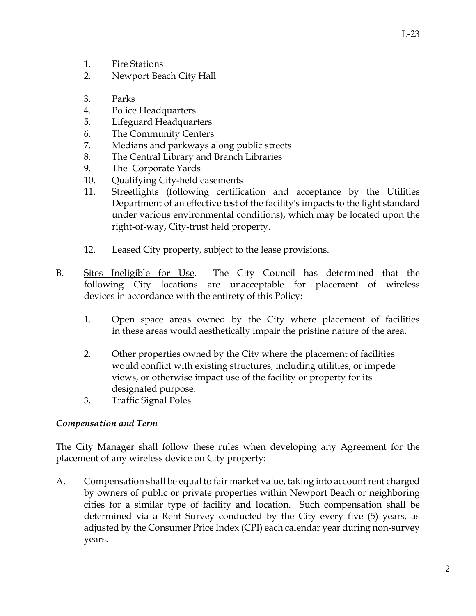- 1. Fire Stations
- 2. Newport Beach City Hall
- 3. Parks
- 4. Police Headquarters
- 5. Lifeguard Headquarters
- 6. The Community Centers
- 7. Medians and parkways along public streets
- 8. The Central Library and Branch Libraries
- 9. The Corporate Yards
- 10. Qualifying City-held easements
- 11. Streetlights (following certification and acceptance by the Utilities Department of an effective test of the facility's impacts to the light standard under various environmental conditions), which may be located upon the right-of-way, City-trust held property.
- 12. Leased City property, subject to the lease provisions.
- B. Sites Ineligible for Use. The City Council has determined that the following City locations are unacceptable for placement of wireless devices in accordance with the entirety of this Policy:
	- 1. Open space areas owned by the City where placement of facilities in these areas would aesthetically impair the pristine nature of the area.
	- 2. Other properties owned by the City where the placement of facilities would conflict with existing structures, including utilities, or impede views, or otherwise impact use of the facility or property for its designated purpose.
	- 3. Traffic Signal Poles

## *Compensation and Term*

The City Manager shall follow these rules when developing any Agreement for the placement of any wireless device on City property:

A. Compensation shall be equal to fair market value, taking into account rent charged by owners of public or private properties within Newport Beach or neighboring cities for a similar type of facility and location. Such compensation shall be determined via a Rent Survey conducted by the City every five (5) years, as adjusted by the Consumer Price Index (CPI) each calendar year during non-survey years.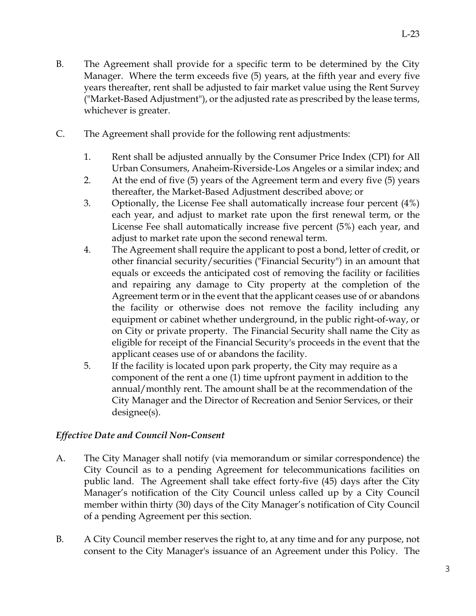- B. The Agreement shall provide for a specific term to be determined by the City Manager. Where the term exceeds five (5) years, at the fifth year and every five years thereafter, rent shall be adjusted to fair market value using the Rent Survey ("Market-Based Adjustment"), or the adjusted rate as prescribed by the lease terms, whichever is greater.
- C. The Agreement shall provide for the following rent adjustments:
	- 1. Rent shall be adjusted annually by the Consumer Price Index (CPI) for All Urban Consumers, Anaheim-Riverside-Los Angeles or a similar index; and
	- 2. At the end of five (5) years of the Agreement term and every five (5) years thereafter, the Market-Based Adjustment described above; or
	- 3. Optionally, the License Fee shall automatically increase four percent (4%) each year, and adjust to market rate upon the first renewal term, or the License Fee shall automatically increase five percent (5%) each year, and adjust to market rate upon the second renewal term.
	- 4. The Agreement shall require the applicant to post a bond, letter of credit, or other financial security/securities ("Financial Security") in an amount that equals or exceeds the anticipated cost of removing the facility or facilities and repairing any damage to City property at the completion of the Agreement term or in the event that the applicant ceases use of or abandons the facility or otherwise does not remove the facility including any equipment or cabinet whether underground, in the public right-of-way, or on City or private property. The Financial Security shall name the City as eligible for receipt of the Financial Security's proceeds in the event that the applicant ceases use of or abandons the facility.
	- 5. If the facility is located upon park property, the City may require as a component of the rent a one (1) time upfront payment in addition to the annual/monthly rent. The amount shall be at the recommendation of the City Manager and the Director of Recreation and Senior Services, or their designee(s).

## *Effective Date and Council Non-Consent*

- A. The City Manager shall notify (via memorandum or similar correspondence) the City Council as to a pending Agreement for telecommunications facilities on public land. The Agreement shall take effect forty-five (45) days after the City Manager's notification of the City Council unless called up by a City Council member within thirty (30) days of the City Manager's notification of City Council of a pending Agreement per this section.
- B. A City Council member reserves the right to, at any time and for any purpose, not consent to the City Manager's issuance of an Agreement under this Policy. The